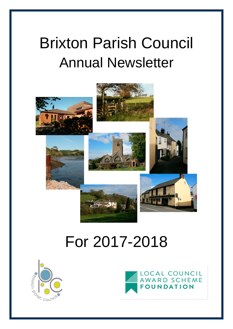# Brixton Parish Council Annual Newsletter



# For 2017-2018



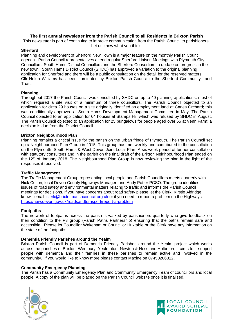# **The first annual newsletter from the Parish Council to all Residents in Brixton Parish**

This newsletter is part of continuing to improve communication from the Parish Council to parishioners. Let us know what you think.

# **Sherford**

Planning and development of Sherford New Town is a major feature on the monthly Parish Council agenda. Parish Council representatives attend regular Sherford Liaison Meetings with Plymouth City Councillors, South Hams District Councillors and the Sherford Consortium to update on progress in the new town. South Hams District Council (SHDC) has approved a variation to the original planning application for Sherford and there will be a public consultation on the detail for the reserved matters. Cllr Helen Williams has been nominated by Brixton Parish Council to the Sherford Community Land Trust.

# **Planning**

Throughout 2017 the Parish Council was consulted by SHDC on up to 40 planning applications, most of which required a site visit of a minimum of three councillors. The Parish Council objected to an application for circa 29 houses on a site originally identified as employment land at Canes Orchard; this was conditionally approved at South Hams Development Management Committee in May. The Parish Council objected to an application for 64 houses at Stamps Hill which was refused by SHDC in August. The Parish Council objected to an application for 25 bungalows for people aged over 55 at Venn Farm; a decision is due from the District Council.

# **Brixton Neighbourhood Plan**

Planning remains a critical issue for the parish on the urban fringe of Plymouth. The Parish Council set up a Neighbourhood Plan Group in 2015. This group has met weekly and contributed to the consultation on the Plymouth, South Hams & West Devon Joint Local Plan. A six week period of further consultation with statutory consultees and in the parish on the final draft of the Brixton Neighbourhood Plan ended on the 12<sup>th</sup> of January 2018. The Neighbourhood Plan Group is now reviewing the plan in the light of the responses it received.

# **Traffic Management**

The Traffic Management Group representing local people and Parish Councillors meets quarterly with Nick Colton, local Devon County Highways Manager, and Andy Potter PCSO. The group identifies issues of road safety and environmental matters relating to traffic and informs the Parish Council meetings for decisions. If you have concerns about road safety please let the Clerk, Kirstie Aldridge know - email: [clerk@brixtonparishcouncil.org.uk](mailto:clerk@brixtonparishcouncil.org.uk) or if you need to report a problem on the Highways <https://new.devon.gov.uk/roadsandtransport/report-a-problem>

# **Footpaths**

The network of footpaths across the parish is walked by parishioners quarterly who give feedback on their condition to the P3 group (Parish Paths Partnership) ensuring that the paths remain safe and accessible. Please let Councillor Wakeham or Councillor Huxtable or the Clerk have any information on the state of the footpaths.

# **Dementia Friendly Parishes around the Yealm**

Brixton Parish Council is part of Dementia Friendly Parishes around the Yealm project which works across the parishes of Brixton, Wembury, Yealmpton, Newton & Noss and Holbeton. It aims to support people with dementia and their families in these parishes to remain active and involved in the community. If you would like to know more please contact Maxine on 07450206312**.**

# **Community Emergency Planning**

The Parish has a Community Emergency Plan and Community Emergency Team of councillors and local people. A copy of the plan will be placed on the Parish Council website once it is finalised.



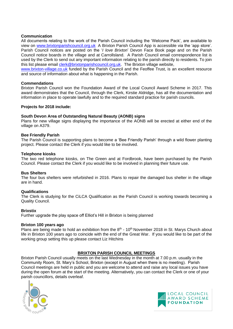# **Communication**

All documents relating to the work of the Parish Council including the 'Welcome Pack', are available to view on [www.brixtonparishcouncil.org.uk](http://www.brixtonparishcouncil.org.uk/) A Brixton Parish Council App is accessible via the 'app store'. Parish Council notices are posted on the '*I love Brixton*' Devon Face Book page and on the Parish Council notice boards in the village and at Carrollsland. A Parish Council email correspondence list is used by the Clerk to send out any important information relating to the parish directly to residents. To join this list please email [clerk@brixtonparishcouncil.org.uk.](mailto:clerk@brixtonparishcouncil.org.uk) The Brixton village website,

[www.brixton-village.co.uk](http://www.brixton-village.co.uk/) funded by the Parish Council and the Feoffee Trust, is an excellent resource and source of information about what is happening in the Parish.

# **Commendations**

Brixton Parish Council won the Foundation Award of the Local Council Award Scheme in 2017. This award demonstrates that the Council, through the Clerk, Kirstie Aldridge, has all the documentation and information in place to operate lawfully and to the required standard practice for parish councils.

#### **Projects for 2018 include:**

# **South Devon Area of Outstanding Natural Beauty (AONB) signs**

Plans for new village signs displaying the importance of the AONB will be erected at either end of the village on A379.

#### **Bee Friendly Parish**

The Parish Council is supporting plans to become a 'Bee Friendly Parish' through a wild flower planting project. Please contact the Clerk if you would like to be involved.

#### **Telephone kiosks**

The two red telephone kiosks, on The Green and at Fordbrook, have been purchased by the Parish Council. Please contact the Clerk if you would like to be involved in planning their future use.

# **Bus Shelters**

The four bus shelters were refurbished in 2016. Plans to repair the damaged bus shelter in the village are in hand.

# **Qualifications**

The Clerk is studying for the CiLCA Qualification as the Parish Council is working towards becoming a Quality Council.

#### **Brixstix**

Further upgrade the play space off Elliot's Hill in Brixton is being planned

#### **Brixton 100 years ago**

Plans are being made to hold an exhibition from the  $8<sup>th</sup>$  - 10<sup>th</sup> November 2018 in St. Marys Church about life in Brixton 100 years ago to coincide with the end of the Great War. If you would like to be part of the working group setting this up please contact Liz Hitchins

# **BRIXTON PARISH COUNCIL MEETINGS**

Brixton Parish Council usually meets on the last Wednesday in the month at 7.00 p.m. usually in the Community Room, St. Mary's School, Brixton (except in August when there is no meeting). Parish Council meetings are held in public and you are welcome to attend and raise any local issues you have during the open forum at the start of the meeting. Alternatively, you can contact the Clerk or one of your parish councillors, details overleaf.